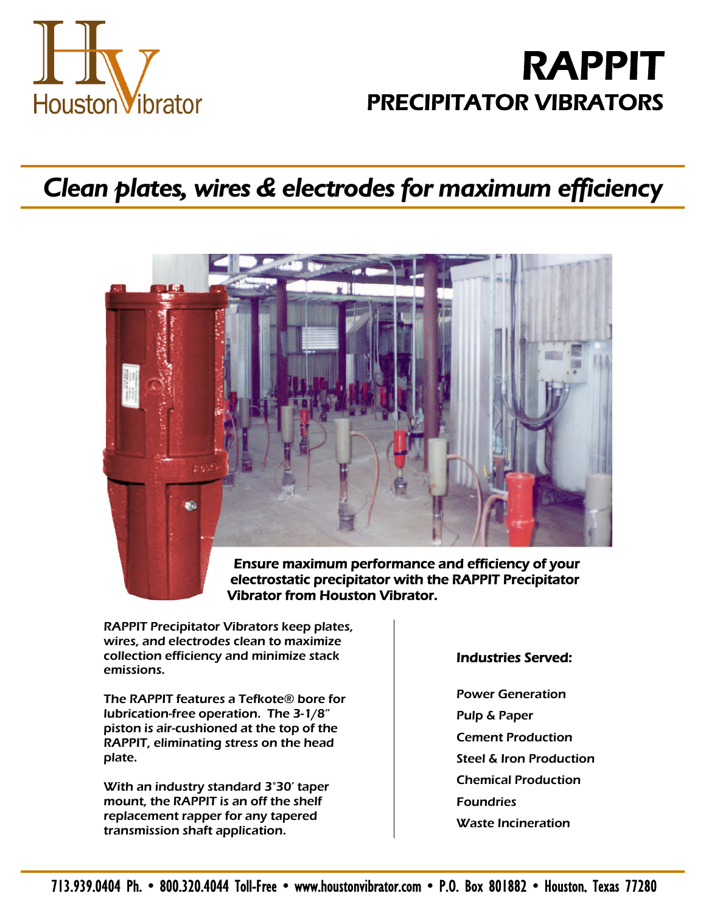

## **RAPPIT PRECIPITATOR VIBRATORS**

## *Clean plates, wires & electrodes for maximum efficiency*



**electrostatic precipitator with the RAPPIT Precipitator Vibrator from Houston Vibrator.**

RAPPIT Precipitator Vibrators keep plates, wires, and electrodes clean to maximize collection efficiency and minimize stack emissions.

The RAPPIT features a Tefkote® bore for lubrication-free operation. The 3-1/8" piston is air-cushioned at the top of the RAPPIT, eliminating stress on the head plate.

With an industry standard 3°30' taper mount, the RAPPIT is an off the shelf replacement rapper for any tapered transmission shaft application.

## **Industries Served:**

Power Generation Pulp & Paper Cement Production Steel & Iron Production Chemical Production **Foundries** Waste Incineration